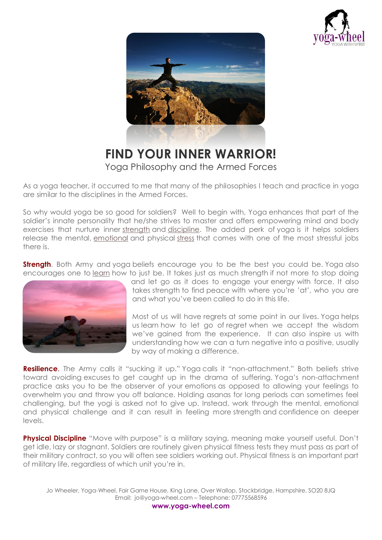



**FIND YOUR INNER WARRIOR!** Yoga Philosophy and the Armed Forces

As a yoga teacher, it occurred to me that many of the philosophies I teach and practice in yoga are similar to the disciplines in the Armed Forces.

So why would yoga be so good for soldiers? Well to begin with, Yoga enhances that part of the soldier's innate personality that he/she strives to master and offers empowering mind and body exercises that nurture inner [strength](http://www.hypnosisdownloads.com/personal-development/personal-power?5165) and [discipline.](http://www.hypnosisdownloads.com/personal-productivity/self-discipline?5165) The added perk of yoga is it helps soldiers release the mental, [emotional](http://www.hypnosisdownloads.com/emotional-intelligence/control-emotions?5165) and physical [stress](http://www.hypnosisdownloads.com/hypnosis-packs/stress-management?5165) that comes with one of the most stressful jobs there is.

**Strength**. Both Army and yoga beliefs encourage you to be the best you could be. Yoga also encourages one to [learn](http://www.hypnosisdownloads.com/learning-help/learn-fast?5165) how to just be. It takes just as much strength if not more to stop doing



and let go as it does to engage your energy with force. It also takes strength to find peace with where you're 'at', who you are and what you've been called to do in this life.

Most of us will have regrets at some point in our lives. Yoga helps us learn how to let go of regret when we accept the wisdom we've gained from the experience. It can also inspire us with understanding how we can a turn negative into a positive, usually by way of making a difference.

**Resilience.** The Army calls it "sucking it up." Yoga calls it "non-attachment." Both beliefs strive toward avoiding excuses to get caught up in the drama of suffering. Yoga's non-attachment practice asks you to be the observer of your emotions as opposed to allowing your feelings to overwhelm you and throw you off balance. Holding asanas for long periods can sometimes feel challenging, but the yogi is asked not to give up. Instead, work through the mental, emotional and physical challenge and it can result in feeling more strength and confidence on deeper levels.

**Physical Discipline** "Move with purpose" is a military saying, meaning make yourself useful. Don't get idle, lazy or stagnant. Soldiers are routinely given physical fitness tests they must pass as part of their military contract, so you will often see soldiers working out. Physical fitness is an important part of military life, regardless of which unit you're in.

Jo Wheeler, Yoga-Wheel, Fair Game House, King Lane, Over Wallop, Stockbridge, Hampshire, SO20 8JQ Email: jo@yoga-wheel.com – Telephone: 07775568596

**www.yoga-wheel.com**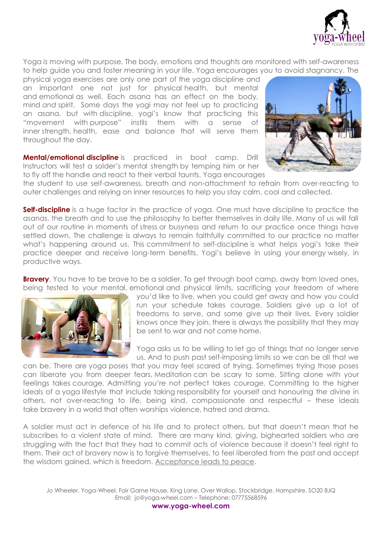

Yoga *is* moving with purpose. The body, emotions and thoughts are monitored with self-awareness to help guide you and foster meaning in your life. Yoga encourages you to avoid stagnancy. The

physical yoga exercises are only one part of the yoga discipline and an important one not just for physical health, but mental and emotional as well. Each asana has an effect on the body, mind *and* spirit. Some days the yogi may not feel up to practicing an asana, but with discipline, yogi's know that practicing this "movement with purpose" instils them with a sense of inner strength, health, ease and balance that will serve them throughout the day.

**Mental/emotional discipline** is practiced in boot camp. Drill Instructors will test a solder's mental strength by temping him or her to fly off the handle and react to their verbal taunts. Yoga encourages



the student to use self-awareness, breath and non-attachment to refrain from over-reacting to outer challenges and relying on inner resources to help you stay calm, cool and collected.

**Self-discipline** is a huge factor in the practice of yoga. One must have discipline to practice the asanas, the breath and to use the philosophy to better themselves in daily life. Many of us will fall out of our routine in moments of stress or busyness and return to our practice once things have settled down. The challenge is always to remain faithfully committed to our practice no matter what's happening around us. This commitment to self-discipline is what helps yogi's take their practice deeper and receive long-term benefits. Yogi's believe in using your energy wisely, in productive ways.

**Bravery**. You have to be brave to be a soldier. To get through boot camp, away from loved ones, being tested to your mental, emotional and physical limits, sacrificing your freedom of where



you'd like to live, when you could get away and how you could run your schedule takes courage. Soldiers give up a lot of freedoms to serve, and some give up their lives. Every soldier knows once they join, there is always the possibility that they may be sent to war and not come home.

Yoga asks us to be willing to let go of things that no longer serve us. And to push past self-imposing limits so we can be all that we

can be. There are yoga poses that you may feel scared of trying. Sometimes trying those poses can liberate you from deeper fears. Meditation can be scary to some. Sitting alone with your feelings takes courage. Admitting you're not perfect takes courage. Committing to the higher ideals of a yoga lifestyle that include taking responsibility for yourself and honouring the divine in others, not over-reacting to life, being kind, compassionate and respectful – these ideals take bravery in a world that often worships violence, hatred and drama.

A soldier must act in defence of his life and to protect others, but that doesn't mean that he subscribes to a violent state of mind. There are many kind, giving, bighearted soldiers who are struggling with the fact that they had to commit acts of violence because it doesn't feel right to them. Their act of bravery now is to forgive themselves, to feel liberated from the past and accept the wisdom gained, which is freedom. Acceptance leads to peace.

Jo Wheeler, Yoga-Wheel, Fair Game House, King Lane, Over Wallop, Stockbridge, Hampshire, SO20 8JQ Email: jo@yoga-wheel.com – Telephone: 07775568596

**www.yoga-wheel.com**